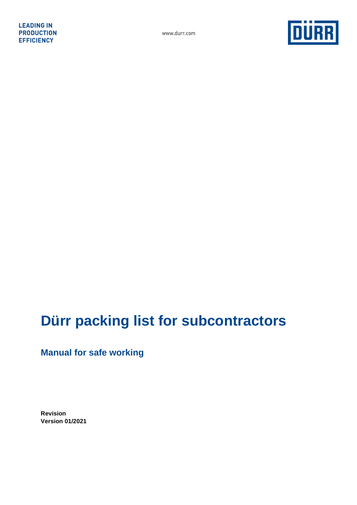

# **Dürr packing list for subcontractors**

**Manual for safe working** 

**Revision Version 01/2021**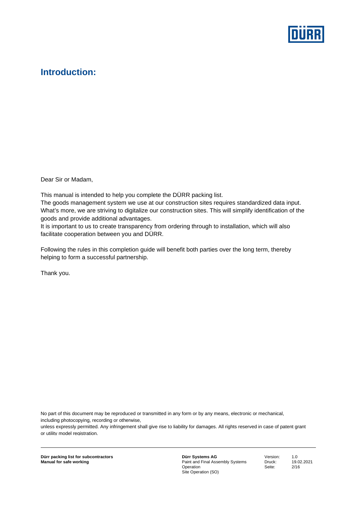

## **Introduction:**

Dear Sir or Madam,

This manual is intended to help you complete the DÜRR packing list.

The goods management system we use at our construction sites requires standardized data input. What's more, we are striving to digitalize our construction sites. This will simplify identification of the goods and provide additional advantages.

It is important to us to create transparency from ordering through to installation, which will also facilitate cooperation between you and DÜRR.

Following the rules in this completion guide will benefit both parties over the long term, thereby helping to form a successful partnership.

Thank you.

No part of this document may be reproduced or transmitted in any form or by any means, electronic or mechanical, including photocopying, recording or otherwise,

unless expressly permitted. Any infringement shall give rise to liability for damages. All rights reserved in case of patent grant or utility model registration.

**Dürr Systems AG**  Paint and Final Assembly Systems **Operation** Site Operation (SO)

Version: 1.0 Druck: 19.02.2021 Seite: 2/16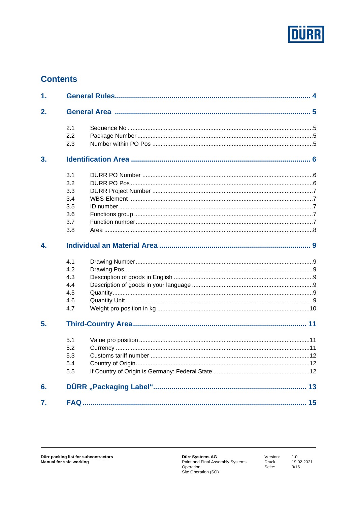

## **Contents**

| 1. |     |  |
|----|-----|--|
| 2. |     |  |
|    | 2.1 |  |
|    | 2.2 |  |
|    | 2.3 |  |
| 3. |     |  |
|    | 3.1 |  |
|    | 3.2 |  |
|    | 3.3 |  |
|    | 3.4 |  |
|    | 3.5 |  |
|    | 3.6 |  |
|    | 3.7 |  |
|    | 3.8 |  |
| 4. |     |  |
|    | 4.1 |  |
|    | 4.2 |  |
|    | 4.3 |  |
|    | 4.4 |  |
|    | 4.5 |  |
|    | 4.6 |  |
|    | 4.7 |  |
| 5. |     |  |
|    | 5.1 |  |
|    | 5.2 |  |
|    | 5.3 |  |
|    | 5.4 |  |
|    | 5.5 |  |
| 6. |     |  |
| 7. |     |  |

Version: Druck: Seite:

1.0<br>19.02.2021  $\frac{10101}{3/16}$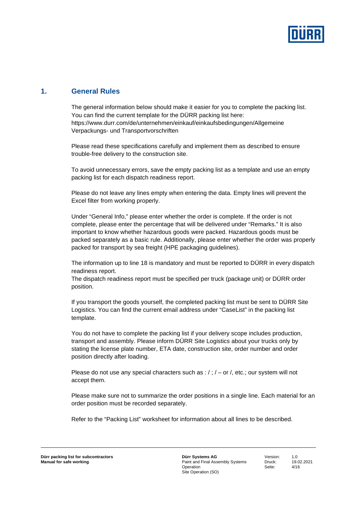

## **1. General Rules**

The general information below should make it easier for you to complete the packing list. You can find the current template for the DÜRR packing list here: https://www.durr.com/de/unternehmen/einkauf/einkaufsbedingungen/Allgemeine Verpackungs- und Transportvorschriften

Please read these specifications carefully and implement them as described to ensure trouble-free delivery to the construction site.

To avoid unnecessary errors, save the empty packing list as a template and use an empty packing list for each dispatch readiness report.

Please do not leave any lines empty when entering the data. Empty lines will prevent the Excel filter from working properly.

Under "General Info," please enter whether the order is complete. If the order is not complete, please enter the percentage that will be delivered under "Remarks." It is also important to know whether hazardous goods were packed. Hazardous goods must be packed separately as a basic rule. Additionally, please enter whether the order was properly packed for transport by sea freight (HPE packaging guidelines).

The information up to line 18 is mandatory and must be reported to DÜRR in every dispatch readiness report.

The dispatch readiness report must be specified per truck (package unit) or DÜRR order position.

If you transport the goods yourself, the completed packing list must be sent to DÜRR Site Logistics. You can find the current email address under "CaseList" in the packing list template.

You do not have to complete the packing list if your delivery scope includes production, transport and assembly. Please inform DÜRR Site Logistics about your trucks only by stating the license plate number, ETA date, construction site, order number and order position directly after loading.

Please do not use any special characters such as :  $/$ ;  $/$  – or  $/$ , etc.; our system will not accept them.

Please make sure not to summarize the order positions in a single line. Each material for an order position must be recorded separately.

Refer to the "Packing List" worksheet for information about all lines to be described.

**Dürr Systems AG**  Paint and Final Assembly Systems **Operation** Site Operation (SO)

Version: 1.0 Druck: 19.02.2021 Seite: 4/16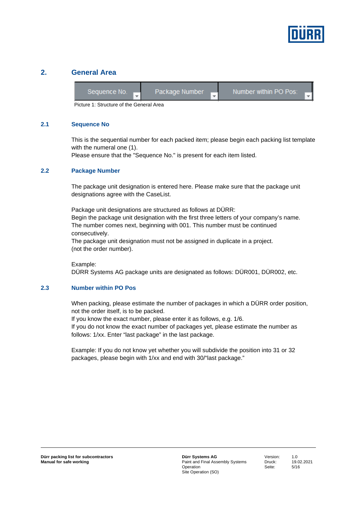

### **2. General Area**

| Sequence No. | Package Number | Number within PO Pos: |
|--------------|----------------|-----------------------|
|              |                |                       |

Picture 1: Structure of the General Area

#### **2.1 Sequence No**

This is the sequential number for each packed item; please begin each packing list template with the numeral one (1).

Please ensure that the "Sequence No." is present for each item listed.

#### **2.2 Package Number**

The package unit designation is entered here. Please make sure that the package unit designations agree with the CaseList.

Package unit designations are structured as follows at DÜRR: Begin the package unit designation with the first three letters of your company's name. The number comes next, beginning with 001. This number must be continued consecutively.

The package unit designation must not be assigned in duplicate in a project. (not the order number).

Example: DÜRR Systems AG package units are designated as follows: DÜR001, DÜR002, etc.

#### **2.3 Number within PO Pos**

When packing, please estimate the number of packages in which a DÜRR order position, not the order itself, is to be packed.

If you know the exact number, please enter it as follows, e.g. 1/6.

If you do not know the exact number of packages yet, please estimate the number as follows: 1/xx. Enter "last package" in the last package.

Example: If you do not know yet whether you will subdivide the position into 31 or 32 packages, please begin with 1/xx and end with 30/"last package."

Version: 1.0 Druck: 19.02.2021 Seite: 5/16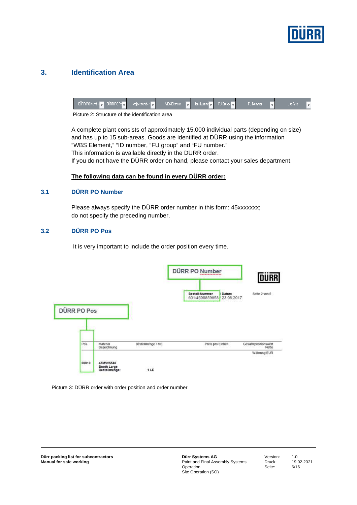

## **3. Identification Area**

| $\overline{\phantom{a}}$ | UUHH PU Numbel | project number | <b>WBS Element</b> | Ident-Numme | FU-Gruppel | FU-Nummer | Use Area |
|--------------------------|----------------|----------------|--------------------|-------------|------------|-----------|----------|
|--------------------------|----------------|----------------|--------------------|-------------|------------|-----------|----------|

Picture 2: Structure of the identification area

A complete plant consists of approximately 15,000 individual parts (depending on size) and has up to 15 sub-areas. Goods are identified at DÜRR using the information "WBS Element," "ID number, "FU group" and "FU number." This information is available directly in the DÜRR order. If you do not have the DÜRR order on hand, please contact your sales department.

#### **The following data can be found in every DÜRR order:**

#### **3.1 DÜRR PO Number**

Please always specify the DÜRR order number in this form: 45xxxxxxx; do not specify the preceding number.

#### **3.2 DÜRR PO Pos**

It is very important to include the order position every time.

|             |                                           |                   | DÜRR PO Number                                          | <b>DURR</b>                  |
|-------------|-------------------------------------------|-------------------|---------------------------------------------------------|------------------------------|
| DÜRR PO Pos |                                           |                   | Bestell-Nummer<br>Datum<br>23.08.2017<br>601/4500859858 | Seite 2 von 5                |
| Pos.        | Material<br>Bezeichnung                   | Bestellmenge / ME | Preis pro Einheit                                       | Gesamtpositionswert<br>Netto |
| 00010       | 4ZMV25540<br>Booth Large<br>Bestellmenge: | CAGE<br>1LE       |                                                         | Währung EUR                  |



**Dürr Systems AG**  Paint and Final Assembly Systems **Operation** Site Operation (SO)

Version: 1.0<br>Druck: 19 Seite: 6/16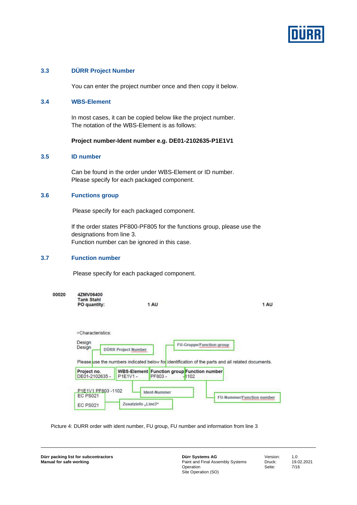

#### **3.3 DÜRR Project Number**

You can enter the project number once and then copy it below.

#### **3.4 WBS-Element**

In most cases, it can be copied below like the project number. The notation of the WBS-Element is as follows:

#### **Project number-Ident number e.g. DE01-2102635-P1E1V1**

#### **3.5 ID number**

Can be found in the order under WBS-Element or ID number. Please specify for each packaged component.

#### **3.6 Functions group**

Please specify for each packaged component.

If the order states PF800-PF805 for the functions group, please use the designations from line 3. Function number can be ignored in this case.

#### **3.7 Function number**

Please specify for each packaged component.

| 00020 | 4ZMV06400<br><b>Tank Stahl</b><br>PO quantity: | 1 AU                       | 1 AU                                                                                                                                 |
|-------|------------------------------------------------|----------------------------|--------------------------------------------------------------------------------------------------------------------------------------|
|       | >Characteristics:<br>Design<br>Design          | <b>DÜRR Project Number</b> | <b>FU-Gruppe/Function group</b><br>Please use the numbers indicated below for identification of the parts and all related documents. |
|       |                                                |                            |                                                                                                                                      |

Picture 4: DURR order with ident number, FU group, FU number and information from line 3

Zusatzinfo "Line3"

EC PS021

**Dürr Systems AG**  Paint and Final Assembly Systems **Operation** Site Operation (SO)

Version: 1.0<br>Druck: 19 Seite: 7/16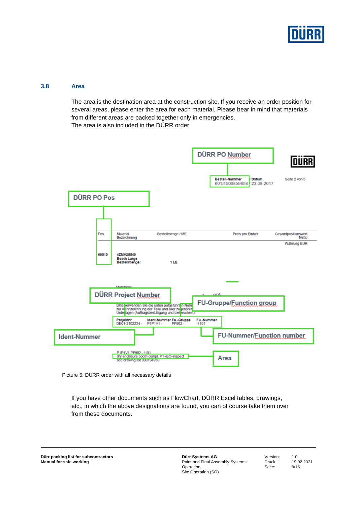

#### **3.8 Area**

The area is the destination area at the construction site. If you receive an order position for several areas, please enter the area for each material. Please bear in mind that materials from different areas are packed together only in emergencies. The area is also included in the DÜRR order.



Picture 5: DÜRR order with all necessary details

If you have other documents such as FlowChart, DÜRR Excel tables, drawings, etc., in which the above designations are found, you can of course take them over from these documents.

**Dürr Systems AG**  Paint and Final Assembly Systems **Operation** Site Operation (SO)

Version: 1.0<br>Druck: 19 Seite: 8/16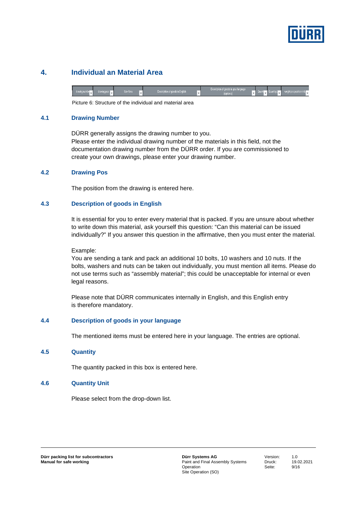

## **4. Individual an Material Area**

Picture 6: Structure of the individual and material area

#### **4.1 Drawing Number**

DÜRR generally assigns the drawing number to you. Please enter the individual drawing number of the materials in this field, not the documentation drawing number from the DÜRR order. If you are commissioned to create your own drawings, please enter your drawing number.

#### **4.2 Drawing Pos**

The position from the drawing is entered here.

#### **4.3 Description of goods in English**

It is essential for you to enter every material that is packed. If you are unsure about whether to write down this material, ask yourself this question: "Can this material can be issued individually?" If you answer this question in the affirmative, then you must enter the material.

Example:

You are sending a tank and pack an additional 10 bolts, 10 washers and 10 nuts. If the bolts, washers and nuts can be taken out individually, you must mention all items. Please do not use terms such as "assembly material"; this could be unacceptable for internal or even legal reasons.

Please note that DÜRR communicates internally in English, and this English entry is therefore mandatory.

#### **4.4 Description of goods in your language**

The mentioned items must be entered here in your language. The entries are optional.

#### **4.5 Quantity**

The quantity packed in this box is entered here.

#### **4.6 Quantity Unit**

Please select from the drop-down list.

Version: 1.0 Druck: 19.02.2021 Seite: 9/16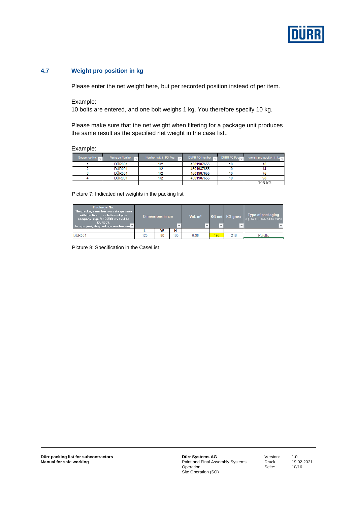

#### **4.7 Weight pro position in kg**

Please enter the net weight here, but per recorded position instead of per item.

#### Example:

10 bolts are entered, and one bolt weighs 1 kg. You therefore specify 10 kg.

Please make sure that the net weight when filtering for a package unit produces the same result as the specified net weight in the case list..

#### Example:

| Sequence No. | Package Number     | Number within PO Pos: I | DÜRR PO Number | DÜRR PO Pos | weight pro position in kg |
|--------------|--------------------|-------------------------|----------------|-------------|---------------------------|
|              | <b>DÜR001</b>      |                         | 4501987655     |             |                           |
|              | DÜR <sub>001</sub> |                         | 4501987655     |             |                           |
|              | <b>DÜR001</b>      |                         | 4501987655     |             |                           |
|              | <b>DÜR001</b>      |                         | 4501987655     | 10          | 98                        |
|              |                    |                         |                |             | 198 KG                    |

Picture 7: Indicated net weights in the packing list

| Package No.<br>The package number must always start<br>with the first three letters of your<br>company, e.g. for DÜRR it would be<br>DÜR001.<br>In a project, the package number mus $\mathbf V$ |     | Dimensions in cm |     | Vol. $m3$<br>$\overline{\phantom{a}}$ | $\overline{\phantom{a}}$ | KG net KG gross | Type of packaging<br>e.g. pallet, wooden box, frame |
|--------------------------------------------------------------------------------------------------------------------------------------------------------------------------------------------------|-----|------------------|-----|---------------------------------------|--------------------------|-----------------|-----------------------------------------------------|
|                                                                                                                                                                                                  |     | W                | н   |                                       |                          |                 |                                                     |
| <b>DÜR001</b>                                                                                                                                                                                    | 120 | 80               | 100 | 0.96                                  | 198                      | 218             | Paletts                                             |
|                                                                                                                                                                                                  |     |                  |     |                                       |                          |                 |                                                     |

Picture 8: Specification in the CaseList

Version: 1.0<br>Druck: 19.0 Seite: 10/16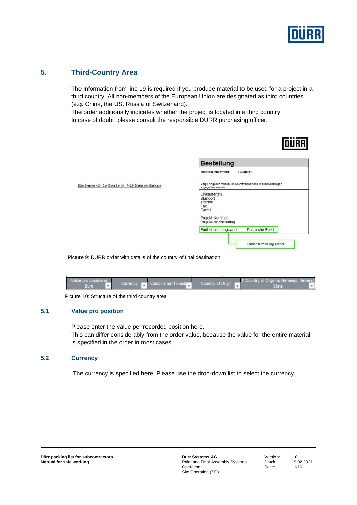

## **5. Third-Country Area**

The information from line 19 is required if you produce material to be used for a project in a third country. All non-members of the European Union are designated as third countries (e.g. China, the US, Russia or Switzerland).

The order additionally indicates whether the project is located in a third country. In case of doubt, please consult the responsible DÜRR purchasing officer.

|                                                                  | <b>Bestellung</b>                                                                              |  |  |
|------------------------------------------------------------------|------------------------------------------------------------------------------------------------|--|--|
|                                                                  | Bestell-Nummer<br>/ Datum                                                                      |  |  |
| Dürr Systems AG · Carl-Benz-Str. 34 - 74321 Bietigheim-Bissingen | Obige Angaben müssen im Schriftverkehr und in allen Unterlagen<br>angegeben werden             |  |  |
|                                                                  | Einkäufer(in)<br>Standort<br>Telefon<br>Fax<br>E-mail<br>Projekt-Nummer<br>Projekt-Bezeichnung |  |  |
|                                                                  | Russische Foed.<br>Endbestimmungsland                                                          |  |  |

Picture 9: DÜRR order with details of the country of final destination

| Value pro position in |                                                  |                   | <b>If Country of Origin is Germany: federal</b> |
|-----------------------|--------------------------------------------------|-------------------|-------------------------------------------------|
| Euro                  | Currency <b>Department Customs tariff number</b> | Country of Origin | State                                           |
|                       |                                                  |                   |                                                 |

Picture 10: Structure of the third country area

#### **5.1 Value pro position**

Please enter the value per recorded position here. This can differ considerably from the order value, because the value for the entire material is specified in the order in most cases.

#### **5.2 Currency**

The currency is specified here. Please use the drop-down list to select the currency.

**Dürr Systems AG**  Paint and Final Assembly Systems **Operation** Site Operation (SO)

Version: 1.0<br>Druck: 19 Seite: 11/16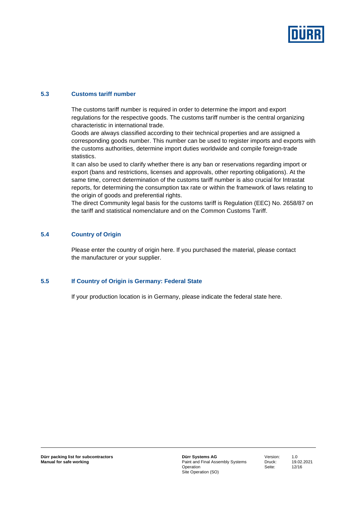

#### **5.3 Customs tariff number**

The customs tariff number is required in order to determine the import and export regulations for the respective goods. The customs tariff number is the central organizing characteristic in international trade.

Goods are always classified according to their technical properties and are assigned a corresponding goods number. This number can be used to register imports and exports with the customs authorities, determine import duties worldwide and compile foreign-trade statistics.

It can also be used to clarify whether there is any ban or reservations regarding import or export (bans and restrictions, licenses and approvals, other reporting obligations). At the same time, correct determination of the customs tariff number is also crucial for Intrastat reports, for determining the consumption tax rate or within the framework of laws relating to the origin of goods and preferential rights.

The direct Community legal basis for the customs tariff is Regulation (EEC) No. 2658/87 on the tariff and statistical nomenclature and on the Common Customs Tariff.

#### **5.4 Country of Origin**

Please enter the country of origin here. If you purchased the material, please contact the manufacturer or your supplier.

#### **5.5 If Country of Origin is Germany: Federal State**

If your production location is in Germany, please indicate the federal state here.

**Dürr Systems AG**  Paint and Final Assembly Systems **Operation** Site Operation (SO)

Version: 1.0 Druck: 19.02.2021 Seite: 12/16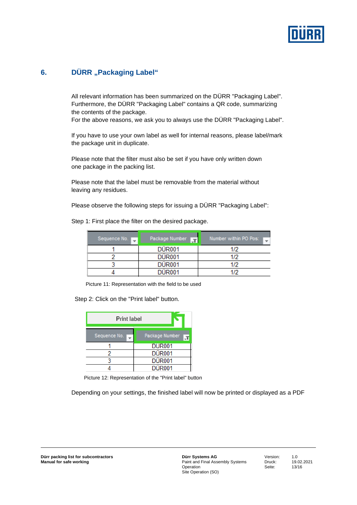

## **6.** DÜRR "Packaging Label"

All relevant information has been summarized on the DÜRR "Packaging Label". Furthermore, the DÜRR "Packaging Label" contains a QR code, summarizing the contents of the package.

For the above reasons, we ask you to always use the DÜRR "Packaging Label".

If you have to use your own label as well for internal reasons, please label/mark the package unit in duplicate.

Please note that the filter must also be set if you have only written down one package in the packing list.

Please note that the label must be removable from the material without leaving any residues.

Please observe the following steps for issuing a DÜRR "Packaging Label":

| Sequence No. 1 | Package Number | Number within PO Pos: |  |
|----------------|----------------|-----------------------|--|
|                | <b>DÜR001</b>  | 1/2                   |  |
|                | <b>DÜR001</b>  | 1/2                   |  |
|                | <b>DÜR001</b>  | 1/2                   |  |
|                | <b>DÜR001</b>  | 172                   |  |

Step 1: First place the filter on the desired package.

Picture 11: Representation with the field to be used

Step 2: Click on the "Print label" button.

| <b>Print label</b> |                |
|--------------------|----------------|
| Sequence No.       | Package Number |
|                    | <b>DUR001</b>  |
|                    | <b>DÜR001</b>  |
|                    | <b>DÜR001</b>  |
|                    | DÜR001         |

Picture 12: Representation of the "Print label" button

Depending on your settings, the finished label will now be printed or displayed as a PDF

Version: 1.0 Seite: 13/16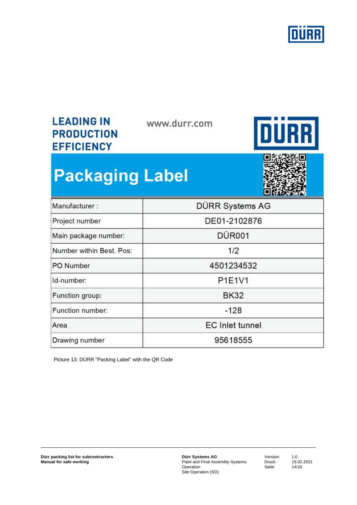

## **LEADING IN PRODUCTION EFFICIENCY**

www.durr.com



# **Packaging Label**



| Manufacturer:            | DÜRR Systems AG        |  |
|--------------------------|------------------------|--|
| Project number           | DE01-2102876           |  |
| Main package number:     | <b>DÜR001</b>          |  |
| Number within Best. Pos: | 1/2                    |  |
| PO Number                | 4501234532             |  |
| Id-number:               | <b>P1E1V1</b>          |  |
| Function group:          | <b>BK32</b>            |  |
| Function number:         | $-128$                 |  |
| Area                     | <b>EC</b> Inlet tunnel |  |
| Drawing number           | 95618555               |  |

Picture 13: DÜRR "Packing Label" with the QR Code

**Dürr packing list for subcontractors Manual for safe working** 

**Dürr Systems AG**  Paint and Final Assembly Systems Operation Site Operation (SO)

Version: 1.0<br>Druck: 19.0 Seite: 14/16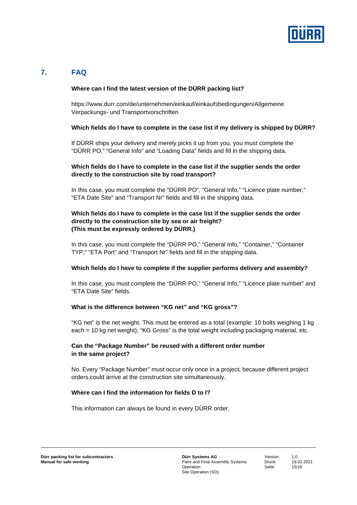

## **7. FAQ**

#### **Where can I find the latest version of the DÜRR packing list?**

https://www.durr.com/de/unternehmen/einkauf/einkaufsbedingungen/Allgemeine Verpackungs- und Transportvorschriften

#### **Which fields do I have to complete in the case list if my delivery is shipped by DÜRR?**

If DÜRR ships your delivery and merely picks it up from you, you must complete the "DÜRR PO," "General Info" and "Loading Data" fields and fill in the shipping data.

#### **Which fields do I have to complete in the case list if the supplier sends the order directly to the construction site by road transport?**

In this case, you must complete the "DÜRR PO", "General Info," "Licence plate number," "ETA Date Site" and "Transport Nr" fields and fill in the shipping data.

#### **Which fields do I have to complete in the case list if the supplier sends the order directly to the construction site by sea or air freight? (This must be expressly ordered by DÜRR.)**

In this case, you must complete the "DÜRR PO," "General Info," "Container," "Container TYP," "ETA Port" and "Transport Nr" fields and fill in the shipping data.

#### **Which fields do I have to complete if the supplier performs delivery and assembly?**

In this case, you must complete the "DÜRR PO," "General Info," "Licence plate number" and "ETA Date Site" fields.

#### **What is the difference between "KG net" and "KG gross"?**

"KG net" is the net weight. This must be entered as a total (example: 10 bolts weighing 1 kg each = 10 kg net weight); "KG Gross" is the total weight including packaging material, etc.

#### **Can the "Package Number" be reused with a different order number in the same project?**

No. Every "Package Number" must occur only once in a project, because different project orders could arrive at the construction site simultaneously.

#### **Where can I find the information for fields D to I?**

This information can always be found in every DÜRR order.

Version: 1.0 Druck: 19.02.2021 Seite: 15/16